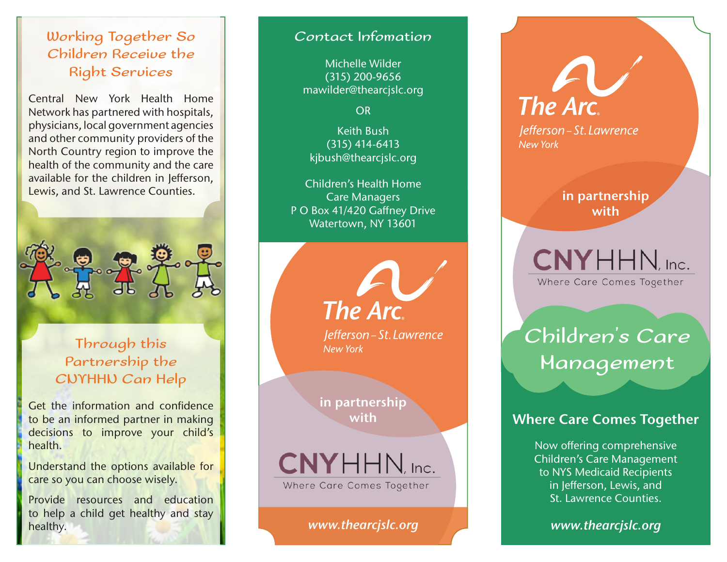### Working Together So Children Receive the Right Services

Central New York Health Home Network has partnered with hospitals, physicians, local government agencies and other community providers of the North Country region to improve the health of the community and the care available for the children in Jefferson, Lewis, and St. Lawrence Counties.



## Through this Partnership the CNYHHN Can Help

Get the information and confidence to be an informed partner in making decisions to improve your child's health.

Understand the options available for care so you can choose wisely.

Provide resources and education to help a child get healthy and stay healthy.

#### Contact Infomation

Michelle Wilder (315) 200-9656 mawilder@thearcjslc.org

OR

Keith Bush (315) 414-6413 kjbush@thearcjslc.org

Children's Health Home Care Managers P O Box 41/420 Gaffney Drive Watertown, NY 13601

The Arc.

Jefferson - St. Lawrence **New York** 

**in partnership with**

**CNYHHN**, Inc. Where Care Comes Together

*www.thearcjslc.org*

# **The Arc.**

Jefferson-St. Lawrence New York

> **in partnership with**

**CNYHHN**, Inc. Where Care Comes Together

# Children's Care Management

#### **Where Care Comes Together**

Now offering comprehensive Children's Care Management to NYS Medicaid Recipients in Jefferson, Lewis, and St. Lawrence Counties.

*www.thearcjslc.org*